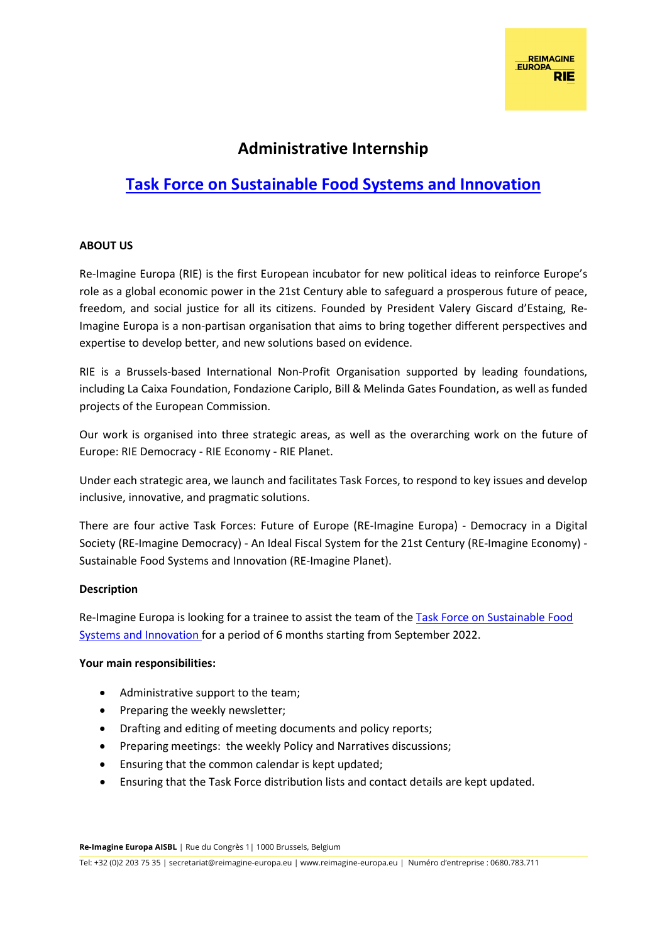## **Administrative Internship**

# **[Task Force on Sustainable Food Systems and Innovation](https://reimagine-europa.eu/why-planet)**

### **ABOUT US**

Re-Imagine Europa (RIE) is the first European incubator for new political ideas to reinforce Europe's role as a global economic power in the 21st Century able to safeguard a prosperous future of peace, freedom, and social justice for all its citizens. Founded by President Valery Giscard d'Estaing, Re-Imagine Europa is a non-partisan organisation that aims to bring together different perspectives and expertise to develop better, and new solutions based on evidence.

RIE is a Brussels-based International Non-Profit Organisation supported by leading foundations, including La Caixa Foundation, Fondazione Cariplo, Bill & Melinda Gates Foundation, as well as funded projects of the European Commission.

Our work is organised into three strategic areas, as well as the overarching work on the future of Europe: RIE Democracy - RIE Economy - RIE Planet.

Under each strategic area, we launch and facilitates Task Forces, to respond to key issues and develop inclusive, innovative, and pragmatic solutions.

There are four active Task Forces: Future of Europe (RE-Imagine Europa) - Democracy in a Digital Society (RE-Imagine Democracy) - An Ideal Fiscal System for the 21st Century (RE-Imagine Economy) - Sustainable Food Systems and Innovation (RE-Imagine Planet).

#### **Description**

Re-Imagine Europa is looking for a trainee to assist the team of th[e Task Force on Sustainable Food](https://reimagine-europa.eu/why-planet)  [Systems and Innovation f](https://reimagine-europa.eu/why-planet)or a period of 6 months starting from September 2022.

#### **Your main responsibilities:**

- Administrative support to the team;
- Preparing the weekly newsletter;
- Drafting and editing of meeting documents and policy reports;
- Preparing meetings: the weekly Policy and Narratives discussions;
- Ensuring that the common calendar is kept updated;
- Ensuring that the Task Force distribution lists and contact details are kept updated.

**Re-Imagine Europa AISBL** | Rue du Congrès 1| 1000 Brussels, Belgium

Tel: +32 (0)2 203 75 35 | secretariat@reimagine-europa.eu | www.reimagine-europa.eu | Numéro d'entreprise : 0680.783.711